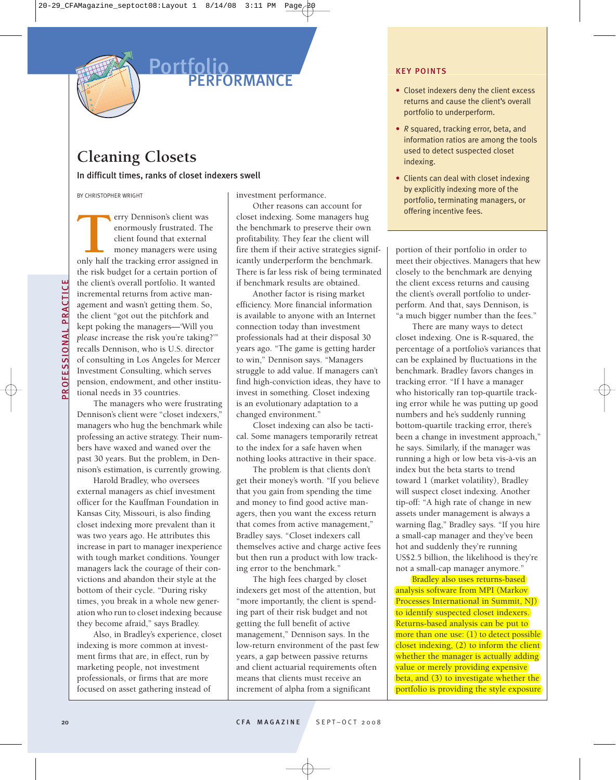

## **Portfolio PERFORMANCE**

# **Cleaning Closets**

In difficult times, ranks of closet indexers swell

BY CHRISTOPHER WRIGHT

erry Dennison's client was enormously frustrated. The client found that external money managers were using erry Dennison's client was<br>
enormously frustrated. The<br>
client found that external<br>
money managers were using<br>
only half the tracking error assigned in the risk budget for a certain portion of the client's overall portfolio. It wanted incremental returns from active management and wasn't getting them. So, the client "got out the pitchfork and kept poking the managers—'Will you *please* increase the risk you're taking?'" recalls Dennison, who is U.S. director of consulting in Los Angeles for Mercer Investment Consulting, which serves pension, endowment, and other institutional needs in 35 countries.

The managers who were frustrating Dennison's client were "closet indexers," managers who hug the benchmark while professing an active strategy. Their numbers have waxed and waned over the past 30 years. But the problem, in Dennison's estimation, is currently growing.

Harold Bradley, who oversees external managers as chief investment officer for the Kauffman Foundation in Kansas City, Missouri, is also finding closet indexing more prevalent than it was two years ago. He attributes this increase in part to manager inexperience with tough market conditions. Younger managers lack the courage of their convictions and abandon their style at the bottom of their cycle. "During risky times, you break in a whole new generation who run to closet indexing because they become afraid," says Bradley.

Also, in Bradley's experience, closet indexing is more common at investment firms that are, in effect, run by marketing people, not investment professionals, or firms that are more focused on asset gathering instead of

investment performance.

Other reasons can account for closet indexing. Some managers hug the benchmark to preserve their own profitability. They fear the client will fire them if their active strategies significantly underperform the benchmark. There is far less risk of being terminated if benchmark results are obtained.

Another factor is rising market efficiency. More financial information is available to anyone with an Internet connection today than investment professionals had at their disposal 30 years ago. "The game is getting harder to win," Dennison says. "Managers struggle to add value. If managers can't find high-conviction ideas, they have to invest in something. Closet indexing is an evolutionary adaptation to a changed environment."

Closet indexing can also be tactical. Some managers temporarily retreat to the index for a safe haven when nothing looks attractive in their space.

The problem is that clients don't get their money's worth. "If you believe that you gain from spending the time and money to find good active managers, then you want the excess return that comes from active management," Bradley says. "Closet indexers call themselves active and charge active fees but then run a product with low tracking error to the benchmark."

The high fees charged by closet indexers get most of the attention, but "more importantly, the client is spending part of their risk budget and not getting the full benefit of active management," Dennison says. In the low-return environment of the past few years, a gap between passive returns and client actuarial requirements often means that clients must receive an increment of alpha from a significant

#### **KEY POINTS**

- Closet indexers deny the client excess returns and cause the client's overall portfolio to underperform.
- *R* squared, tracking error, beta, and information ratios are among the tools used to detect suspected closet indexing.
- Clients can deal with closet indexing by explicitly indexing more of the portfolio, terminating managers, or offering incentive fees.

portion of their portfolio in order to meet their objectives. Managers that hew closely to the benchmark are denying the client excess returns and causing the client's overall portfolio to underperform. And that, says Dennison, is "a much bigger number than the fees."

There are many ways to detect closet indexing. One is R-squared, the percentage of a portfolio's variances that can be explained by fluctuations in the benchmark. Bradley favors changes in tracking error. "If I have a manager who historically ran top-quartile tracking error while he was putting up good numbers and he's suddenly running bottom-quartile tracking error, there's been a change in investment approach," he says. Similarly, if the manager was running a high or low beta vis-à-vis an index but the beta starts to trend toward 1 (market volatility), Bradley will suspect closet indexing. Another tip-off: "A high rate of change in new assets under management is always a warning flag," Bradley says. "If you hire a small-cap manager and they've been hot and suddenly they're running US\$2.5 billion, the likelihood is they're not a small-cap manager anymore."

Bradley also uses returns-based analysis software from MPI (Markov Processes International in Summit, NJ) to identify suspected closet indexers. Returns-based analysis can be put to more than one use: (1) to detect possible closet indexing, (2) to inform the client whether the manager is actually adding value or merely providing expensive beta, and (3) to investigate whether the portfolio is providing the style exposure